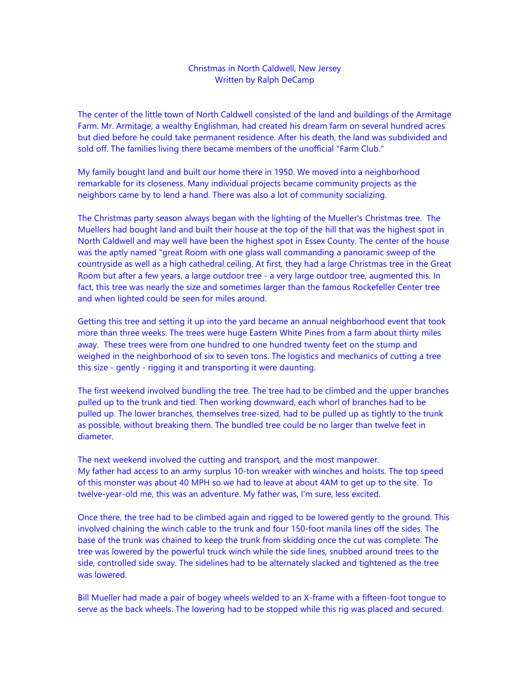## Christmas in North Caldwell, New Jersey Written by Ralph DeCamp

The center of the little town of North Caldwell consisted of the land and buildings of the Armitage Farm. Mr. Armitage, a wealthy Englishman, had created his dream farm on several hundred acres but died before he could take permanent residence. After his death, the land was subdivided and sold off. The families living there became members of the unofficial "Farm Club."

My family bought land and built our home there in 1950. We moved into a neighborhood remarkable for its closeness. Many individual projects became community projects as the neighbors came by to lend a hand. There was also a lot of community socializing.

The Christmas party season always began with the lighting of the Mueller's Christmas tree. The Muellers had bought land and built their house at the top of the hill that was the highest spot in North Caldwell and may well have been the highest spot in Essex County. The center of the house was the aptly named "great Room with one glass wall commanding a panoramic sweep of the countryside as well as a high cathedral ceiling. At first, they had a large Christmas tree in the Great Room but after a few years, a large outdoor tree - a very large outdoor tree, augmented this. In fact, this tree was nearly the size and sometimes larger than the famous Rockefeller Center tree and when lighted could be seen for miles around.

Getting this tree and setting it up into the yard became an annual neighborhood event that took more than three weeks. The trees were huge Eastern White Pines from a farm about thirty miles away. These trees were from one hundred to one hundred twenty feet on the stump and weighed in the neighborhood of six to seven tons. The logistics and mechanics of cutting a tree this size - gently - rigging it and transporting it were daunting.

The first weekend involved bundling the tree. The tree had to be climbed and the upper branches pulled up to the trunk and tied. Then working downward, each whorl of branches had to be pulled up. The lower branches, themselves tree-sized, had to be pulled up as tightly to the trunk as possible, without breaking them. The bundled tree could be no larger than twelve feet in diameter.

The next weekend involved the cutting and transport, and the most manpower. My father had access to an army surplus 10-ton wreaker with winches and hoists. The top speed of this monster was about 40 MPH so we had to leave at about 4AM to get up to the site. To twelve-year-old me, this was an adventure. My father was, I'm sure, less excited.

Once there, the tree had to be climbed again and rigged to be lowered gently to the ground. This involved chaining the winch cable to the trunk and four 150-foot manila lines off the sides. The base of the trunk was chained to keep the trunk from skidding once the cut was complete. The tree was lowered by the powerful truck winch while the side lines, snubbed around trees to the side, controlled side sway. The sidelines had to be alternately slacked and tightened as the tree was lowered.

Bill Mueller had made a pair of bogey wheels welded to an X-frame with a fifteen-foot tongue to serve as the back wheels. The lowering had to be stopped while this rig was placed and secured.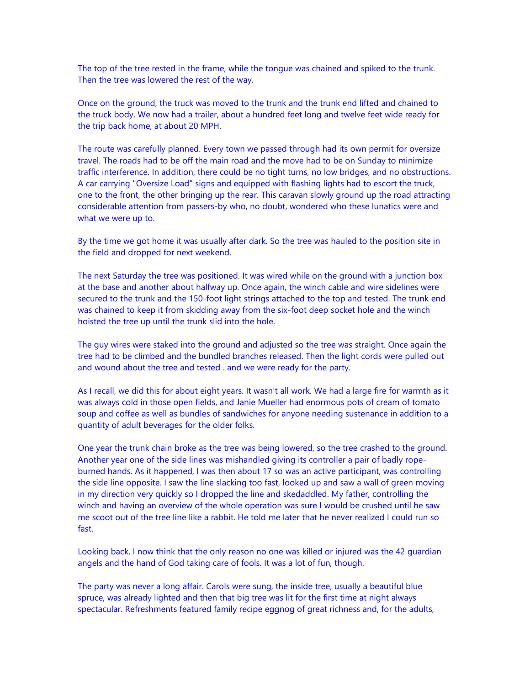The top of the tree rested in the frame, while the tongue was chained and spiked to the trunk. Then the tree was lowered the rest of the way.

Once on the ground, the truck was moved to the trunk and the trunk end lifted and chained to the truck body. We now had a trailer, about a hundred feet long and twelve feet wide ready for the trip back home, at about 20 MPH.

The route was carefully planned. Every town we passed through had its own permit for oversize travel. The roads had to be off the main road and the move had to be on Sunday to minimize traffic interference. In addition, there could be no tight turns, no low bridges, and no obstructions. A car carrying "Oversize Load" signs and equipped with flashing lights had to escort the truck, one to the front, the other bringing up the rear. This caravan slowly ground up the road attracting considerable attention from passers-by who, no doubt, wondered who these lunatics were and what we were up to.

By the time we got home it was usually after dark. So the tree was hauled to the position site in the field and dropped for next weekend.

The next Saturday the tree was positioned. It was wired while on the ground with a junction box at the base and another about halfway up. Once again, the winch cable and wire sidelines were secured to the trunk and the 150-foot light strings attached to the top and tested. The trunk end was chained to keep it from skidding away from the six-foot deep socket hole and the winch hoisted the tree up until the trunk slid into the hole.

The guy wires were staked into the ground and adjusted so the tree was straight. Once again the tree had to be climbed and the bundled branches released. Then the light cords were pulled out and wound about the tree and tested . and we were ready for the party.

As I recall, we did this for about eight years. It wasn't all work. We had a large fire for warmth as it was always cold in those open fields, and Janie Mueller had enormous pots of cream of tomato soup and coffee as well as bundles of sandwiches for anyone needing sustenance in addition to a quantity of adult beverages for the older folks.

One year the trunk chain broke as the tree was being lowered, so the tree crashed to the ground. Another year one of the side lines was mishandled giving its controller a pair of badly ropeburned hands. As it happened, I was then about 17 so was an active participant, was controlling the side line opposite. I saw the line slacking too fast, looked up and saw a wall of green moving in my direction very quickly so I dropped the line and skedaddled. My father, controlling the winch and having an overview of the whole operation was sure I would be crushed until he saw me scoot out of the tree line like a rabbit. He told me later that he never realized I could run so fast.

Looking back, I now think that the only reason no one was killed or injured was the 42 guardian angels and the hand of God taking care of fools. It was a lot of fun, though.

The party was never a long affair. Carols were sung, the inside tree, usually a beautiful blue spruce, was already lighted and then that big tree was lit for the first time at night always spectacular. Refreshments featured family recipe eggnog of great richness and, for the adults,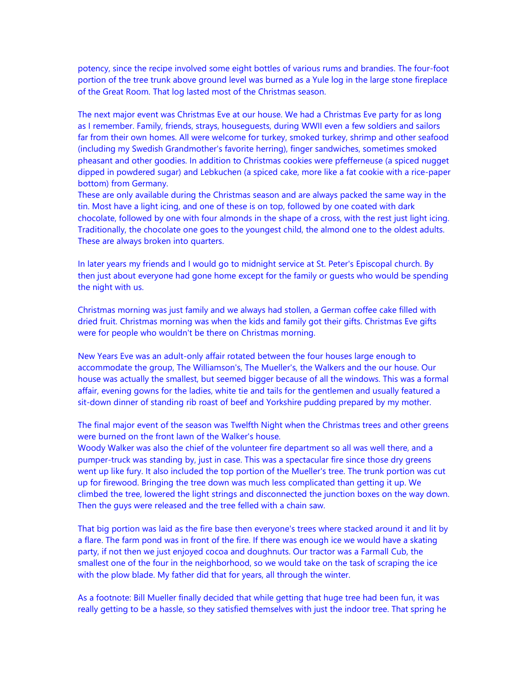potency, since the recipe involved some eight bottles of various rums and brandies. The four-foot portion of the tree trunk above ground level was burned as a Yule log in the large stone fireplace of the Great Room. That log lasted most of the Christmas season.

The next major event was Christmas Eve at our house. We had a Christmas Eve party for as long as I remember. Family, friends, strays, houseguests, during WWII even a few soldiers and sailors far from their own homes. All were welcome for turkey, smoked turkey, shrimp and other seafood (including my Swedish Grandmother's favorite herring), finger sandwiches, sometimes smoked pheasant and other goodies. In addition to Christmas cookies were pfefferneuse (a spiced nugget dipped in powdered sugar) and Lebkuchen (a spiced cake, more like a fat cookie with a rice-paper bottom) from Germany.

These are only available during the Christmas season and are always packed the same way in the tin. Most have a light icing, and one of these is on top, followed by one coated with dark chocolate, followed by one with four almonds in the shape of a cross, with the rest just light icing. Traditionally, the chocolate one goes to the youngest child, the almond one to the oldest adults. These are always broken into quarters.

In later years my friends and I would go to midnight service at St. Peter's Episcopal church. By then just about everyone had gone home except for the family or guests who would be spending the night with us.

Christmas morning was just family and we always had stollen, a German coffee cake filled with dried fruit. Christmas morning was when the kids and family got their gifts. Christmas Eve gifts were for people who wouldn't be there on Christmas morning.

New Years Eve was an adult-only affair rotated between the four houses large enough to accommodate the group, The Williamson's, The Mueller's, the Walkers and the our house. Our house was actually the smallest, but seemed bigger because of all the windows. This was a formal affair, evening gowns for the ladies, white tie and tails for the gentlemen and usually featured a sit-down dinner of standing rib roast of beef and Yorkshire pudding prepared by my mother.

The final major event of the season was Twelfth Night when the Christmas trees and other greens were burned on the front lawn of the Walker's house.

Woody Walker was also the chief of the volunteer fire department so all was well there, and a pumper-truck was standing by, just in case. This was a spectacular fire since those dry greens went up like fury. It also included the top portion of the Mueller's tree. The trunk portion was cut up for firewood. Bringing the tree down was much less complicated than getting it up. We climbed the tree, lowered the light strings and disconnected the junction boxes on the way down. Then the guys were released and the tree felled with a chain saw.

That big portion was laid as the fire base then everyone's trees where stacked around it and lit by a flare. The farm pond was in front of the fire. If there was enough ice we would have a skating party, if not then we just enjoyed cocoa and doughnuts. Our tractor was a Farmall Cub, the smallest one of the four in the neighborhood, so we would take on the task of scraping the ice with the plow blade. My father did that for years, all through the winter.

As a footnote: Bill Mueller finally decided that while getting that huge tree had been fun, it was really getting to be a hassle, so they satisfied themselves with just the indoor tree. That spring he